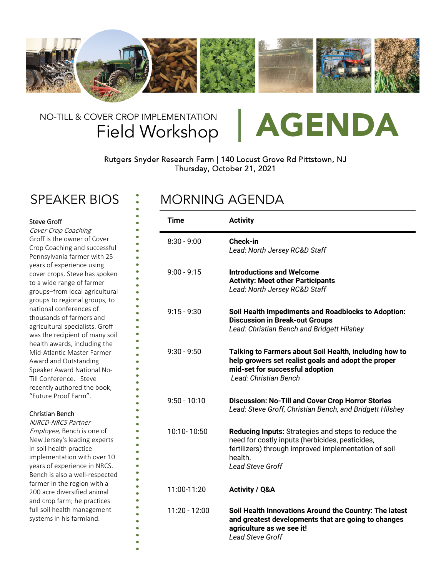

## Field Workshop NO-TILL & COVER CROP IMPLEMENTATION | AGENDA



### Rutgers Snyder Research Farm | 140 Locust Grove Rd Pittstown, NJ Thursday, October 21, 2021

## SPEAKER BIOS : MORNING AGENDA

| <b>Steve Groff</b><br>Cover Crop Coaching                                                                                                                                             | <b>Time</b>    | <b>Activity</b>                                                                                                                                                                                             |
|---------------------------------------------------------------------------------------------------------------------------------------------------------------------------------------|----------------|-------------------------------------------------------------------------------------------------------------------------------------------------------------------------------------------------------------|
| Groff is the owner of Cover<br>Crop Coaching and successful<br>Pennsylvania farmer with 25                                                                                            | $8:30 - 9:00$  | <b>Check-in</b><br>Lead: North Jersey RC&D Staff                                                                                                                                                            |
| years of experience using<br>cover crops. Steve has spoken<br>to a wide range of farmer<br>groups-from local agricultural<br>groups to regional groups, to                            | $9:00 - 9:15$  | <b>Introductions and Welcome</b><br><b>Activity: Meet other Participants</b><br>Lead: North Jersey RC&D Staff                                                                                               |
| national conferences of<br>thousands of farmers and<br>agricultural specialists. Groff<br>was the recipient of many soil<br>health awards, including the                              | $9:15 - 9:30$  | Soil Health Impediments and Roadblocks to Adoption:<br><b>Discussion in Break-out Groups</b><br>Lead: Christian Bench and Bridgett Hilshey                                                                  |
| Mid-Atlantic Master Farmer<br>Award and Outstanding<br>Speaker Award National No-<br>Till Conference. Steve<br>recently authored the book,                                            | $9:30 - 9:50$  | Talking to Farmers about Soil Health, including how to<br>help growers set realist goals and adopt the proper<br>mid-set for successful adoption<br>Lead: Christian Bench                                   |
| "Future Proof Farm".<br><b>Christian Bench</b><br>NJRCD-NRCS Partner                                                                                                                  | $9:50 - 10:10$ | <b>Discussion: No-Till and Cover Crop Horror Stories</b><br>Lead: Steve Groff, Christian Bench, and Bridgett Hilshey                                                                                        |
| Employee, Bench is one of<br>New Jersey's leading experts<br>in soil health practice<br>implementation with over 10<br>years of experience in NRCS.<br>Bench is also a well-respected | 10:10-10:50    | <b>Reducing Inputs:</b> Strategies and steps to reduce the<br>need for costly inputs (herbicides, pesticides,<br>fertilizers) through improved implementation of soil<br>health.<br><b>Lead Steve Groff</b> |
| farmer in the region with a<br>200 acre diversified animal<br>and crop farm; he practices                                                                                             | 11:00-11:20    | <b>Activity / Q&amp;A</b>                                                                                                                                                                                   |
| full soil health management<br>systems in his farmland.                                                                                                                               | 11:20 - 12:00  | Soil Health Innovations Around the Country: The latest<br>and greatest developments that are going to changes<br>agriculture as we see it!<br><b>Lead Steve Groff</b>                                       |